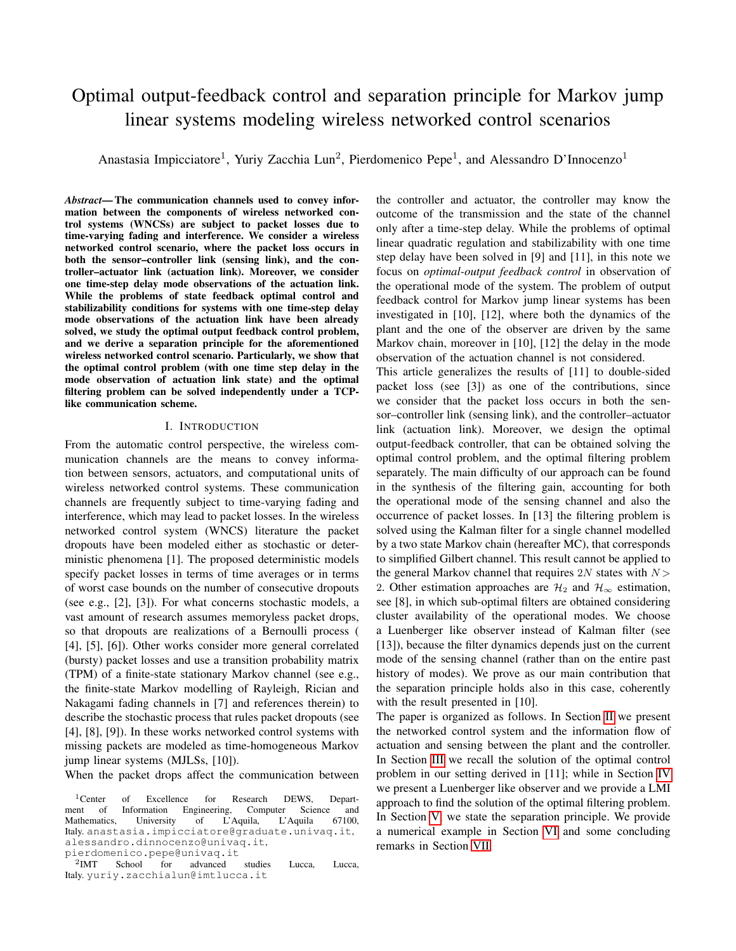# Optimal output-feedback control and separation principle for Markov jump linear systems modeling wireless networked control scenarios

Anastasia Impicciatore<sup>1</sup>, Yuriy Zacchia Lun<sup>2</sup>, Pierdomenico Pepe<sup>1</sup>, and Alessandro D'Innocenzo<sup>1</sup>

*Abstract*— The communication channels used to convey information between the components of wireless networked control systems (WNCSs) are subject to packet losses due to time-varying fading and interference. We consider a wireless networked control scenario, where the packet loss occurs in both the sensor–controller link (sensing link), and the controller–actuator link (actuation link). Moreover, we consider one time-step delay mode observations of the actuation link. While the problems of state feedback optimal control and stabilizability conditions for systems with one time-step delay mode observations of the actuation link have been already solved, we study the optimal output feedback control problem, and we derive a separation principle for the aforementioned wireless networked control scenario. Particularly, we show that the optimal control problem (with one time step delay in the mode observation of actuation link state) and the optimal filtering problem can be solved independently under a TCPlike communication scheme.

#### I. INTRODUCTION

From the automatic control perspective, the wireless communication channels are the means to convey information between sensors, actuators, and computational units of wireless networked control systems. These communication channels are frequently subject to time-varying fading and interference, which may lead to packet losses. In the wireless networked control system (WNCS) literature the packet dropouts have been modeled either as stochastic or deterministic phenomena [1]. The proposed deterministic models specify packet losses in terms of time averages or in terms of worst case bounds on the number of consecutive dropouts (see e.g., [2], [3]). For what concerns stochastic models, a vast amount of research assumes memoryless packet drops, so that dropouts are realizations of a Bernoulli process ( [4], [5], [6]). Other works consider more general correlated (bursty) packet losses and use a transition probability matrix (TPM) of a finite-state stationary Markov channel (see e.g., the finite-state Markov modelling of Rayleigh, Rician and Nakagami fading channels in [7] and references therein) to describe the stochastic process that rules packet dropouts (see [4], [8], [9]). In these works networked control systems with missing packets are modeled as time-homogeneous Markov jump linear systems (MJLSs, [10]).

When the packet drops affect the communication between

the controller and actuator, the controller may know the outcome of the transmission and the state of the channel only after a time-step delay. While the problems of optimal linear quadratic regulation and stabilizability with one time step delay have been solved in [9] and [11], in this note we focus on *optimal-output feedback control* in observation of the operational mode of the system. The problem of output feedback control for Markov jump linear systems has been investigated in [10], [12], where both the dynamics of the plant and the one of the observer are driven by the same Markov chain, moreover in [10], [12] the delay in the mode observation of the actuation channel is not considered.

This article generalizes the results of [11] to double-sided packet loss (see [3]) as one of the contributions, since we consider that the packet loss occurs in both the sensor–controller link (sensing link), and the controller–actuator link (actuation link). Moreover, we design the optimal output-feedback controller, that can be obtained solving the optimal control problem, and the optimal filtering problem separately. The main difficulty of our approach can be found in the synthesis of the filtering gain, accounting for both the operational mode of the sensing channel and also the occurrence of packet losses. In [13] the filtering problem is solved using the Kalman filter for a single channel modelled by a two state Markov chain (hereafter MC), that corresponds to simplified Gilbert channel. This result cannot be applied to the general Markov channel that requires  $2N$  states with  $N$ 2. Other estimation approaches are  $\mathcal{H}_2$  and  $\mathcal{H}_{\infty}$  estimation, see [8], in which sub-optimal filters are obtained considering cluster availability of the operational modes. We choose a Luenberger like observer instead of Kalman filter (see [13]), because the filter dynamics depends just on the current mode of the sensing channel (rather than on the entire past history of modes). We prove as our main contribution that the separation principle holds also in this case, coherently with the result presented in [10].

The paper is organized as follows. In Section [II](#page-1-0) we present the networked control system and the information flow of actuation and sensing between the plant and the controller. In Section [III](#page-3-0) we recall the solution of the optimal control problem in our setting derived in [11]; while in Section [IV](#page-3-1) we present a Luenberger like observer and we provide a LMI approach to find the solution of the optimal filtering problem. In Section [V,](#page-5-0) we state the separation principle. We provide a numerical example in Section [VI](#page-5-1) and some concluding remarks in Section [VII.](#page-6-0)

<sup>&</sup>lt;sup>1</sup>Center of Excellence for Research DEWS, Department of Information Engineering, Computer Science and<br>Mathematics, University of L'Aquila, L'Aquila 67100, Mathematics, University of L'Aquila, L'Aquila 67100, Italy. anastasia.impicciatore@graduate.univaq.it, alessandro.dinnocenzo@univaq.it, pierdomenico.pepe@univaq.it

 $^{2}$ IMT School for advanced studies Lucca, Lucca, Italy. yuriy.zacchialun@imtlucca.it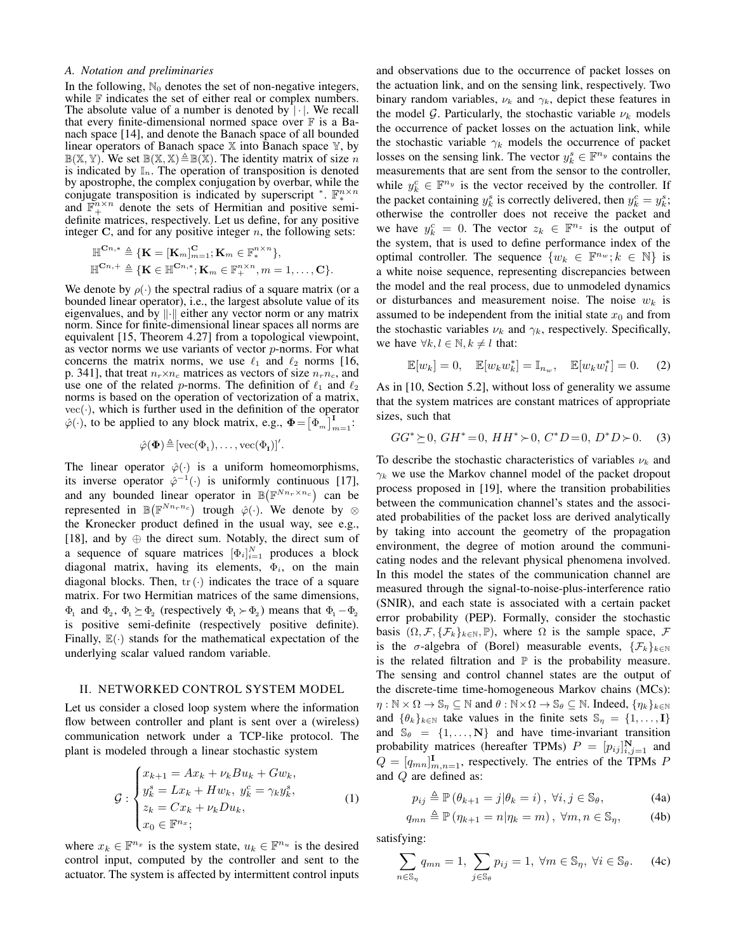## *A. Notation and preliminaries*

In the following,  $\mathbb{N}_0$  denotes the set of non-negative integers, while  $F$  indicates the set of either real or complex numbers. The absolute value of a number is denoted by  $|\cdot|$ . We recall that every finite-dimensional normed space over  $\mathbb F$  is a Banach space [14], and denote the Banach space of all bounded linear operators of Banach space  $X$  into Banach space  $Y$ , by  $\mathbb{B}(\mathbb{X}, \mathbb{Y})$ . We set  $\mathbb{B}(\mathbb{X}, \mathbb{X}) \triangleq \mathbb{B}(\mathbb{X})$ . The identity matrix of size n is indicated by  $\mathbb{I}_n$ . The operation of transposition is denoted by apostrophe, the complex conjugation by overbar, while the conjugate transposition is indicated by superscript \*.  $\mathbb{F}_*^{n \times n}$ and  $\mathbb{F}_+^{n \times n}$  denote the sets of Hermitian and positive semidefinite matrices, respectively. Let us define, for any positive integer  $C$ , and for any positive integer  $n$ , the following sets:

$$
\mathbb{H}^{\mathbf{C}n,*} \triangleq \{ \mathbf{K} = [\mathbf{K}_m]_{m=1}^{\mathbf{C}}; \mathbf{K}_m \in \mathbb{F}_*^{n \times n} \},
$$
  

$$
\mathbb{H}^{\mathbf{C}n,+} \triangleq \{ \mathbf{K} \in \mathbb{H}^{\mathbf{C}n,*}; \mathbf{K}_m \in \mathbb{F}_+^{n \times n}, m = 1, \dots, \mathbf{C} \}.
$$

We denote by  $\rho(\cdot)$  the spectral radius of a square matrix (or a bounded linear operator), i.e., the largest absolute value of its eigenvalues, and by  $\|\cdot\|$  either any vector norm or any matrix norm. Since for finite-dimensional linear spaces all norms are equivalent [15, Theorem 4.27] from a topological viewpoint, as vector norms we use variants of vector  $p$ -norms. For what concerns the matrix norms, we use  $\ell_1$  and  $\ell_2$  norms [16, p. 341], that treat  $n_r \times n_c$  matrices as vectors of size  $n_r n_c$ , and use one of the related p-norms. The definition of  $\ell_1$  and  $\ell_2$ norms is based on the operation of vectorization of a matrix,  $vec(\cdot)$ , which is further used in the definition of the operator  $\hat{\varphi}(\cdot)$ , to be applied to any block matrix, e.g.,  $\Phi = \left[\Phi_m\right]_{m=1}^{\mathbf{I}}$ .

$$
\hat{\varphi}(\boldsymbol{\Phi}) \!\triangleq\! [\operatorname{vec}(\boldsymbol{\Phi}_1),\ldots,\operatorname{vec}(\boldsymbol{\Phi}_I)]'.
$$

The linear operator  $\hat{\varphi}(\cdot)$  is a uniform homeomorphisms, its inverse operator  $\hat{\varphi}^{-1}(\cdot)$  is uniformly continuous [17], and any bounded linear operator in  $\mathbb{B}(\mathbb{F}^{Nn_r \times n_c})$  can be represented in  $\mathbb{B}(\mathbb{F}^{Nn_r n_c})$  trough  $\hat{\varphi}(\cdot)$ . We denote by  $\otimes$ the Kronecker product defined in the usual way, see e.g., [18], and by  $\oplus$  the direct sum. Notably, the direct sum of a sequence of square matrices  $[\Phi_i]_{i=1}^N$  produces a block diagonal matrix, having its elements,  $\Phi_i$ , on the main diagonal blocks. Then,  $tr(\cdot)$  indicates the trace of a square matrix. For two Hermitian matrices of the same dimensions,  $\Phi_1$  and  $\Phi_2$ ,  $\Phi_1 \succeq \Phi_2$  (respectively  $\Phi_1 \succ \Phi_2$ ) means that  $\Phi_1 - \Phi_2$ is positive semi-definite (respectively positive definite). Finally,  $\mathbb{E}(\cdot)$  stands for the mathematical expectation of the underlying scalar valued random variable.

### <span id="page-1-0"></span>II. NETWORKED CONTROL SYSTEM MODEL

Let us consider a closed loop system where the information flow between controller and plant is sent over a (wireless) communication network under a TCP-like protocol. The plant is modeled through a linear stochastic system

<span id="page-1-1"></span>
$$
\mathcal{G}: \begin{cases} x_{k+1} = Ax_k + \nu_k Bu_k + Gw_k, \\ y_k^s = Lx_k + Hw_k, \ y_k^c = \gamma_k y_k^s, \\ z_k = Cx_k + \nu_k Du_k, \\ x_0 \in \mathbb{F}^{n_x}; \end{cases} (1)
$$

where  $x_k \in \mathbb{F}^{n_x}$  is the system state,  $u_k \in \mathbb{F}^{n_u}$  is the desired control input, computed by the controller and sent to the actuator. The system is affected by intermittent control inputs and observations due to the occurrence of packet losses on the actuation link, and on the sensing link, respectively. Two binary random variables,  $\nu_k$  and  $\gamma_k$ , depict these features in the model G. Particularly, the stochastic variable  $\nu_k$  models the occurrence of packet losses on the actuation link, while the stochastic variable  $\gamma_k$  models the occurrence of packet losses on the sensing link. The vector  $y_k^s \in \mathbb{F}^{n_y}$  contains the measurements that are sent from the sensor to the controller, while  $y_k^c \in \mathbb{F}^{n_y}$  is the vector received by the controller. If the packet containing  $y_k^s$  is correctly delivered, then  $y_k^c = y_k^s$ ; otherwise the controller does not receive the packet and we have  $y_k^c = 0$ . The vector  $z_k \in \mathbb{F}^{n_z}$  is the output of the system, that is used to define performance index of the optimal controller. The sequence  $\{w_k \in \mathbb{F}^{n_w}; k \in \mathbb{N}\}\$ is a white noise sequence, representing discrepancies between the model and the real process, due to unmodeled dynamics or disturbances and measurement noise. The noise  $w_k$  is assumed to be independent from the initial state  $x_0$  and from the stochastic variables  $\nu_k$  and  $\gamma_k$ , respectively. Specifically, we have  $\forall k, l \in \mathbb{N}, k \neq l$  that:

$$
\mathbb{E}[w_k] = 0, \quad \mathbb{E}[w_k w_k^*] = \mathbb{I}_{n_w}, \quad \mathbb{E}[w_k w_l^*] = 0. \tag{2}
$$

As in [10, Section 5.2], without loss of generality we assume that the system matrices are constant matrices of appropriate sizes, such that

$$
GG^* \succeq 0, GH^* = 0, HH^* \succ 0, C^*D = 0, D^*D \succ 0.
$$
 (3)

To describe the stochastic characteristics of variables  $\nu_k$  and  $\gamma_k$  we use the Markov channel model of the packet dropout process proposed in [19], where the transition probabilities between the communication channel's states and the associated probabilities of the packet loss are derived analytically by taking into account the geometry of the propagation environment, the degree of motion around the communicating nodes and the relevant physical phenomena involved. In this model the states of the communication channel are measured through the signal-to-noise-plus-interference ratio (SNIR), and each state is associated with a certain packet error probability (PEP). Formally, consider the stochastic basis  $(\Omega, \mathcal{F}, \{F_k\}_{k \in \mathbb{N}}, \mathbb{P})$ , where  $\Omega$  is the sample space,  $\mathcal{F}$ is the  $\sigma$ -algebra of (Borel) measurable events,  $\{\mathcal{F}_k\}_{k\in\mathbb{N}}$ is the related filtration and  $\mathbb P$  is the probability measure. The sensing and control channel states are the output of the discrete-time time-homogeneous Markov chains (MCs):  $\eta : \mathbb{N} \times \Omega \to \mathbb{S}_{\eta} \subseteq \mathbb{N}$  and  $\theta : \mathbb{N} \times \Omega \to \mathbb{S}_{\theta} \subseteq \mathbb{N}$ . Indeed,  $\{\eta_k\}_{k \in \mathbb{N}}$ and  $\{\theta_k\}_{k\in\mathbb{N}}$  take values in the finite sets  $\mathbb{S}_n = \{1, \ldots, I\}$ and  $\mathbb{S}_{\theta} = \{1, \dots, \mathbb{N}\}\$ and have time-invariant transition probability matrices (hereafter TPMs)  $P = [p_{ij}]_{i,j=1}^{N}$  and  $Q = [q_{mn}]_{m,n=1}^{\text{I}}$ , respectively. The entries of the TPMs P and Q are defined as:

$$
p_{ij} \triangleq \mathbb{P}\left(\theta_{k+1} = j | \theta_k = i\right), \ \forall i, j \in \mathbb{S}_{\theta},\tag{4a}
$$

$$
q_{mn} \triangleq \mathbb{P}\left(\eta_{k+1} = n|\eta_k = m\right), \ \forall m, n \in \mathbb{S}_\eta,\tag{4b}
$$

satisfying:

$$
\sum_{n \in \mathbb{S}_\eta} q_{mn} = 1, \ \sum_{j \in \mathbb{S}_\theta} p_{ij} = 1, \ \forall m \in \mathbb{S}_\eta, \ \forall i \in \mathbb{S}_\theta. \tag{4c}
$$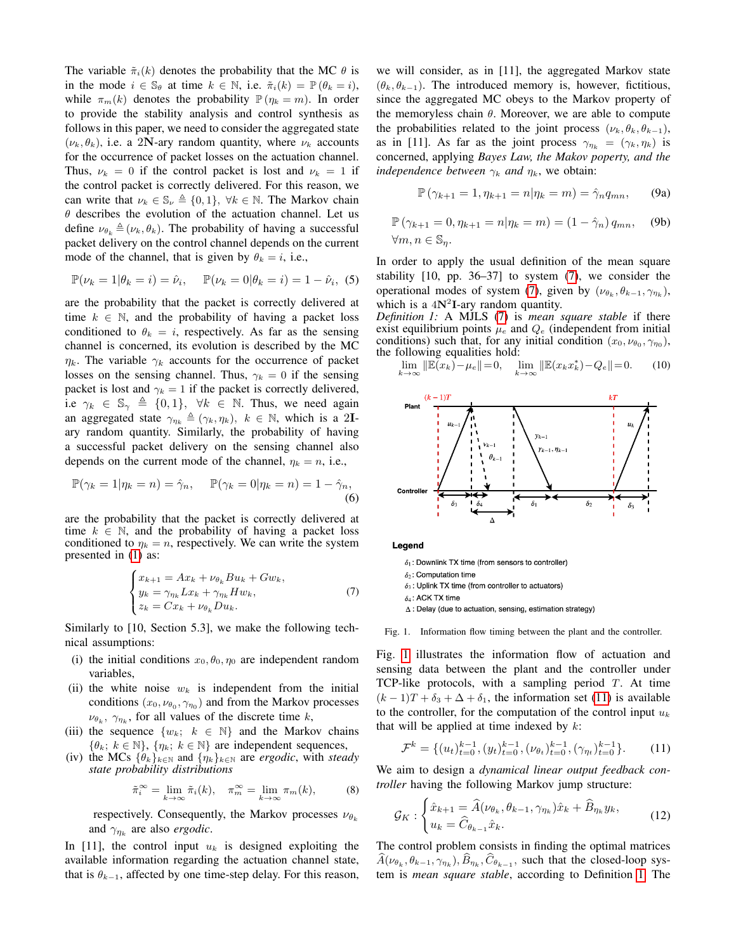The variable  $\tilde{\pi}_i(k)$  denotes the probability that the MC  $\theta$  is in the mode  $i \in \mathbb{S}_{\theta}$  at time  $k \in \mathbb{N}$ , i.e.  $\tilde{\pi}_i(k) = \mathbb{P}(\theta_k = i)$ , while  $\pi_m(k)$  denotes the probability  $\mathbb{P}(\eta_k = m)$ . In order to provide the stability analysis and control synthesis as follows in this paper, we need to consider the aggregated state  $(\nu_k, \theta_k)$ , i.e. a 2N-ary random quantity, where  $\nu_k$  accounts for the occurrence of packet losses on the actuation channel. Thus,  $\nu_k = 0$  if the control packet is lost and  $\nu_k = 1$  if the control packet is correctly delivered. For this reason, we can write that  $\nu_k \in \mathbb{S}_{\nu} \triangleq \{0, 1\}, \ \forall k \in \mathbb{N}$ . The Markov chain  $\theta$  describes the evolution of the actuation channel. Let us define  $\nu_{\theta_k} \triangleq (\nu_k, \theta_k)$ . The probability of having a successful packet delivery on the control channel depends on the current mode of the channel, that is given by  $\theta_k = i$ , i.e.,

$$
\mathbb{P}(\nu_k = 1 | \theta_k = i) = \hat{\nu}_i, \quad \mathbb{P}(\nu_k = 0 | \theta_k = i) = 1 - \hat{\nu}_i, (5)
$$

are the probability that the packet is correctly delivered at time  $k \in \mathbb{N}$ , and the probability of having a packet loss conditioned to  $\theta_k = i$ , respectively. As far as the sensing channel is concerned, its evolution is described by the MC  $\eta_k$ . The variable  $\gamma_k$  accounts for the occurrence of packet losses on the sensing channel. Thus,  $\gamma_k = 0$  if the sensing packet is lost and  $\gamma_k = 1$  if the packet is correctly delivered, i.e  $\gamma_k \in \mathbb{S}_{\gamma} \triangleq \{0, 1\}, \forall k \in \mathbb{N}$ . Thus, we need again an aggregated state  $\gamma_{\eta_k} \triangleq (\gamma_k, \eta_k)$ ,  $k \in \mathbb{N}$ , which is a 2Iary random quantity. Similarly, the probability of having a successful packet delivery on the sensing channel also depends on the current mode of the channel,  $\eta_k = n$ , i.e.,

$$
\mathbb{P}(\gamma_k = 1 | \eta_k = n) = \hat{\gamma}_n, \quad \mathbb{P}(\gamma_k = 0 | \eta_k = n) = 1 - \hat{\gamma}_n,
$$
\n(6)

are the probability that the packet is correctly delivered at time  $k \in \mathbb{N}$ , and the probability of having a packet loss conditioned to  $\eta_k = n$ , respectively. We can write the system presented in [\(1\)](#page-1-1) as:

<span id="page-2-0"></span>
$$
\begin{cases}\nx_{k+1} = Ax_k + \nu_{\theta_k} Bu_k + Gw_k, \\
y_k = \gamma_{\eta_k} Lx_k + \gamma_{\eta_k} Hw_k, \\
z_k = Cx_k + \nu_{\theta_k} Du_k.\n\end{cases} \tag{7}
$$

Similarly to [10, Section 5.3], we make the following technical assumptions:

- (i) the initial conditions  $x_0, \theta_0, \eta_0$  are independent random variables,
- (ii) the white noise  $w_k$  is independent from the initial conditions  $(x_0, \nu_{\theta_0}, \gamma_{\eta_0})$  and from the Markov processes  $\nu_{\theta_k}$ ,  $\gamma_{\eta_k}$ , for all values of the discrete time k,
- (iii) the sequence  $\{w_k; k \in \mathbb{N}\}\$  and the Markov chains  $\{\theta_k; k \in \mathbb{N}\}, \{\eta_k; k \in \mathbb{N}\}\$ are independent sequences,
- (iv) the MCs  $\{\theta_k\}_{k\in\mathbb{N}}$  and  $\{\eta_k\}_{k\in\mathbb{N}}$  are *ergodic*, with *steady state probability distributions*

$$
\tilde{\pi}_i^{\infty} = \lim_{k \to \infty} \tilde{\pi}_i(k), \quad \pi_m^{\infty} = \lim_{k \to \infty} \pi_m(k), \tag{8}
$$

respectively. Consequently, the Markov processes  $\nu_{\theta_k}$ and  $\gamma_{\eta_k}$  are also *ergodic*.

In [11], the control input  $u_k$  is designed exploiting the available information regarding the actuation channel state, that is  $\theta_{k-1}$ , affected by one time-step delay. For this reason, we will consider, as in [11], the aggregated Markov state  $(\theta_k, \theta_{k-1})$ . The introduced memory is, however, fictitious, since the aggregated MC obeys to the Markov property of the memoryless chain  $\theta$ . Moreover, we are able to compute the probabilities related to the joint process  $(\nu_k, \theta_k, \theta_{k-1}),$ as in [11]. As far as the joint process  $\gamma_{\eta_k} = (\gamma_k, \eta_k)$  is concerned, applying *Bayes Law, the Makov poperty, and the independence between*  $\gamma_k$  *and*  $\eta_k$ , we obtain:

$$
\mathbb{P}(\gamma_{k+1} = 1, \eta_{k+1} = n | \eta_k = m) = \hat{\gamma}_n q_{mn}, \qquad (9a)
$$

$$
\mathbb{P}(\gamma_{k+1} = 0, \eta_{k+1} = n | \eta_k = m) = (1 - \hat{\gamma}_n) q_{mn}, \quad \text{(9b)}
$$
  

$$
\forall m, n \in \mathbb{S}_\eta.
$$

In order to apply the usual definition of the mean square stability [10, pp. 36–37] to system [\(7\)](#page-2-0), we consider the operational modes of system [\(7\)](#page-2-0), given by  $(\nu_{\theta_k}, \theta_{k-1}, \gamma_{\eta_k}),$ which is a  $4N^2I$ -ary random quantity.

*Definition 1:* A MJLS [\(7\)](#page-2-0) is *mean square stable* if there exist equilibrium points  $\mu_e$  and  $Q_e$  (independent from initial conditions) such that, for any initial condition  $(x_0, \nu_{\theta_0}, \gamma_{\eta_0}),$ the following equalities hold:

<span id="page-2-3"></span>
$$
\lim_{k \to \infty} \|\mathbb{E}(x_k) - \mu_e\| = 0, \quad \lim_{k \to \infty} \|\mathbb{E}(x_k x_k^*) - Q_e\| = 0. \tag{10}
$$



Legend

 $\delta_1$ : Downlink TX time (from sensors to controller)  $\delta_2$ : Computation time  $\delta_3$ : Uplink TX time (from controller to actuators)

 $\delta_4$ : ACK TX time

<span id="page-2-1"></span> $\Delta$  : Delay (due to actuation, sensing, estimation strategy)

#### Fig. 1. Information flow timing between the plant and the controller.

Fig. [1](#page-2-1) illustrates the information flow of actuation and sensing data between the plant and the controller under TCP-like protocols, with a sampling period  $T$ . At time  $(k-1)T + \delta_3 + \Delta + \delta_1$ , the information set [\(11\)](#page-2-2) is available to the controller, for the computation of the control input  $u_k$ that will be applied at time indexed by  $k$ :

<span id="page-2-2"></span>
$$
\mathcal{F}^k = \{ (u_t)_{t=0}^{k-1}, (y_t)_{t=0}^{k-1}, (\nu_{\theta_t})_{t=0}^{k-1}, (\gamma_{\eta_t})_{t=0}^{k-1} \}.
$$
 (11)

We aim to design a *dynamical linear output feedback controller* having the following Markov jump structure:

<span id="page-2-4"></span>
$$
\mathcal{G}_K : \begin{cases} \hat{x}_{k+1} = \hat{A}(\nu_{\theta_k}, \theta_{k-1}, \gamma_{\eta_k})\hat{x}_k + \hat{B}_{\eta_k} y_k, \\ u_k = \hat{C}_{\theta_{k-1}} \hat{x}_k. \end{cases} \tag{12}
$$

The control problem consists in finding the optimal matrices  $\hat{A}(\nu_{\theta_k}, \theta_{k-1}, \gamma_{\eta_k}), \hat{B}_{\eta_k}, \hat{C}_{\theta_{k-1}},$  such that the closed-loop system is *mean square stable*, according to Definition [1.](#page-2-3) The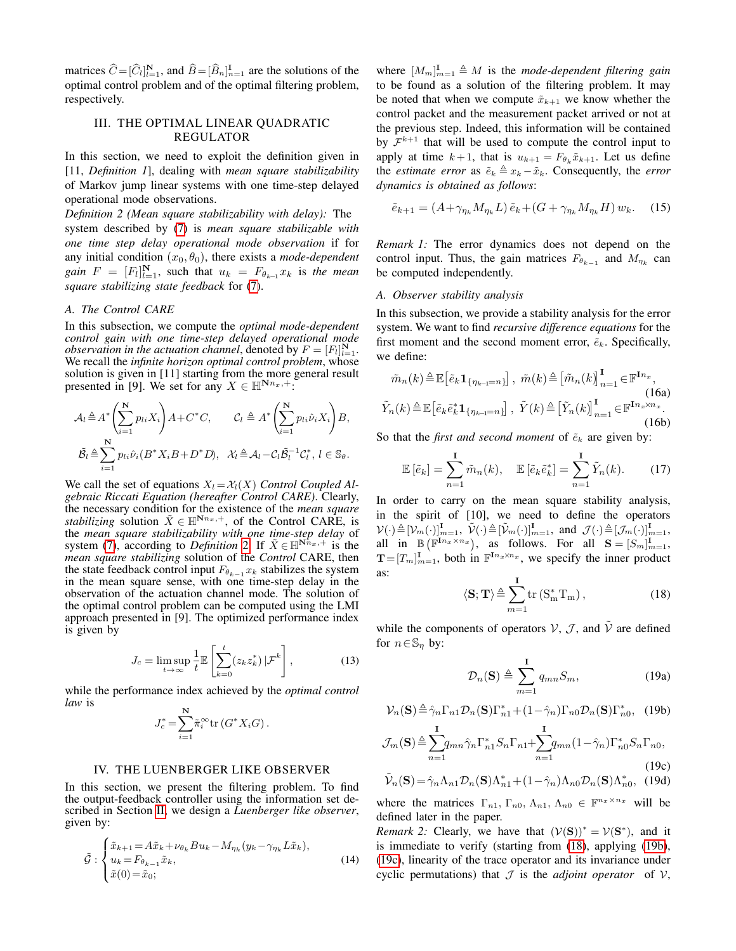matrices  $\widehat{C} = [\widehat{C}_l]_{l=1}^N$ , and  $\widehat{B} = [\widehat{B}_n]_{n=1}^{\mathbf{I}}$  are the solutions of the optimal control problem and of the optimal filtering problem, respectively.

## <span id="page-3-2"></span><span id="page-3-0"></span>III. THE OPTIMAL LINEAR QUADRATIC REGULATOR

In this section, we need to exploit the definition given in [11, *Definition 1*], dealing with *mean square stabilizability* of Markov jump linear systems with one time-step delayed operational mode observations.

*Definition 2 (Mean square stabilizability with delay):* The system described by [\(7\)](#page-2-0) is *mean square stabilizable with one time step delay operational mode observation* if for any initial condition  $(x_0, \theta_0)$ , there exists a *mode-dependent gain*  $F = [F_l]_{l=1}^N$ , such that  $u_k = F_{\theta_{k-1}} x_k$  is the mean *square stabilizing state feedback* for [\(7\)](#page-2-0).

## *A. The Control CARE*

In this subsection, we compute the *optimal mode-dependent control gain with one time-step delayed operational mode observation in the actuation channel*, denoted by  $F = [F_l]_{l=1}^N$ . We recall the *infinite horizon optimal control problem*, whose solution is given in [11] starting from the more general result presented in [9]. We set for any  $X \in \mathbb{H}^{N_{n_x,+}}$ :

$$
\mathcal{A}_{l} \triangleq A^{*} \left( \sum_{i=1}^{N} p_{li} X_{i} \right) A + C^{*} C, \qquad \mathcal{C}_{l} \triangleq A^{*} \left( \sum_{i=1}^{N} p_{li} \hat{\nu}_{i} X_{i} \right) B,
$$

$$
\tilde{\mathcal{B}}_{l} \triangleq \sum_{i=1}^{N} p_{li} \hat{\nu}_{i} (B^{*} X_{i} B + D^{*} D), \quad \mathcal{X}_{l} \triangleq \mathcal{A}_{l} - \mathcal{C}_{l} \tilde{\mathcal{B}}_{l}^{-1} \mathcal{C}_{l}^{*}, \ l \in \mathbb{S}_{\theta}.
$$

We call the set of equations  $X_l = \mathcal{X}_l(X)$  *Control Coupled Algebraic Riccati Equation (hereafter Control CARE)*. Clearly, the necessary condition for the existence of the *mean square stabilizing* solution  $\tilde{X} \in \mathbb{H}^{N_{n_x},+}$ , of the Control CARE, is the *mean square stabilizability with one time-step delay* of system [\(7\)](#page-2-0), according to *Definition* [2.](#page-3-2) If  $\tilde{X} \in \mathbb{H}^{N_{n_x,+}^+}$  is the *mean square stabilizing* solution of the *Control* CARE, then the state feedback control input  $F_{\theta_{k-1}} x_k$  stabilizes the system in the mean square sense, with one time-step delay in the observation of the actuation channel mode. The solution of the optimal control problem can be computed using the LMI approach presented in [9]. The optimized performance index is given by

$$
J_c = \limsup_{t \to \infty} \frac{1}{t} \mathbb{E}\left[\sum_{k=0}^t (z_k z_k^*) |\mathcal{F}^k\right],\tag{13}
$$

while the performance index achieved by the *optimal control law* is

$$
J_c^* = \sum_{i=1}^{\mathbf{N}} \tilde{\pi}_i^{\infty} \text{tr}\left(G^* X_i G\right).
$$

#### IV. THE LUENBERGER LIKE OBSERVER

<span id="page-3-1"></span>In this section, we present the filtering problem. To find the output-feedback controller using the information set described in Section [II,](#page-1-0) we design a *Luenberger like observer*, given by:

<span id="page-3-8"></span>
$$
\tilde{\mathcal{G}} : \begin{cases} \tilde{x}_{k+1} = A\tilde{x}_k + \nu_{\theta_k} Bu_k - M_{\eta_k} (y_k - \gamma_{\eta_k} L\tilde{x}_k), \\ u_k = F_{\theta_{k-1}} \tilde{x}_k, \\ \tilde{x}(0) = \tilde{x}_0; \end{cases}
$$
\n(14)

where  $[M_m]_{m=1}^{\mathbf{I}} \triangleq M$  is the *mode-dependent filtering gain* to be found as a solution of the filtering problem. It may be noted that when we compute  $\tilde{x}_{k+1}$  we know whether the control packet and the measurement packet arrived or not at the previous step. Indeed, this information will be contained by  $\mathcal{F}^{k+1}$  that will be used to compute the control input to apply at time  $k+1$ , that is  $u_{k+1} = F_{\theta_k} \tilde{x}_{k+1}$ . Let us define the *estimate error* as  $\tilde{e}_k \triangleq x_k - \tilde{x}_k$ . Consequently, the *error dynamics is obtained as follows*:

<span id="page-3-6"></span>
$$
\tilde{e}_{k+1} = (A + \gamma_{\eta_k} M_{\eta_k} L) \tilde{e}_k + (G + \gamma_{\eta_k} M_{\eta_k} H) w_k. \tag{15}
$$

*Remark 1:* The error dynamics does not depend on the control input. Thus, the gain matrices  $F_{\theta_{k-1}}$  and  $M_{\eta_k}$  can be computed independently.

## *A. Observer stability analysis*

In this subsection, we provide a stability analysis for the error system. We want to find *recursive difference equations* for the first moment and the second moment error,  $\tilde{e}_k$ . Specifically, we define:

$$
\tilde{m}_n(k) \triangleq \mathbb{E}\left[\tilde{e}_k \mathbf{1}_{\{\eta_{k-1}=n\}}\right], \ \tilde{m}(k) \triangleq \left[\tilde{m}_n(k)\right]_{n=1}^{\mathbf{I}} \in \mathbb{F}^{\mathbf{I}n_x},\tag{16a}
$$
\n
$$
\tilde{Y}_n(k) \triangleq \mathbb{E}\left[\tilde{e}_k \tilde{e}_k^* \mathbf{1}_{\{\eta_{k-1}=n\}}\right], \ \tilde{Y}(k) \triangleq \left[\tilde{Y}_n(k)\right]_{n=1}^{\mathbf{I}} \in \mathbb{F}^{\mathbf{I}n_x \times n_x}.\tag{16b}
$$

So that the *first and second moment* of  $\tilde{e}_k$  are given by:

$$
\mathbb{E}\left[\tilde{e}_k\right] = \sum_{n=1}^{\mathbf{I}} \tilde{m}_n(k), \quad \mathbb{E}\left[\tilde{e}_k \tilde{e}_k^*\right] = \sum_{n=1}^{\mathbf{I}} \tilde{Y}_n(k). \tag{17}
$$

In order to carry on the mean square stability analysis, in the spirit of [10], we need to define the operators  $\mathcal{V}(\cdot) \triangleq [\mathcal{V}_m(\cdot)]_{m=1}^{\mathbf{I}}, \ \tilde{\mathcal{V}}(\cdot) \triangleq [\tilde{\mathcal{V}}_m(\cdot)]_{m=1}^{\mathbf{I}}, \text{ and } \mathcal{J}(\cdot) \triangleq [\mathcal{J}_m(\cdot)]_{m=1}^{\mathbf{I}},$ all in  $\mathbb{B}(\mathbb{F}^{\mathbf{I} n_x \times n_x})$ , as follows. For all  $\mathbf{S} = [S_m]_{m=1}^{\mathbf{I}}$ ,  $T=[T_m]_{m=1}^{\mathbf{I}},$  both in  $\mathbb{F}^{\mathbf{I} n_x \times n_x}$ , we specify the inner product as: <sub>I</sub>

<span id="page-3-3"></span>
$$
\langle \mathbf{S}; \mathbf{T} \rangle \stackrel{\Delta}{=} \sum_{m=1}^{\mathbf{r}} \text{tr} \left( \mathbf{S}_{\mathbf{m}}^* \mathbf{T}_{\mathbf{m}} \right), \tag{18}
$$

while the components of operators  $V, \mathcal{J}$ , and  $\tilde{V}$  are defined for  $n \in \mathbb{S}_n$  by:

$$
\mathcal{D}_n(\mathbf{S}) \triangleq \sum_{m=1}^{\mathbf{I}} q_{mn} S_m, \tag{19a}
$$

<span id="page-3-4"></span> $\mathcal{V}_n(\mathbf{S}) \triangleq \hat{\gamma}_n \Gamma_{n1} \mathcal{D}_n(\mathbf{S}) \Gamma_{n1}^* + (1 - \hat{\gamma}_n) \Gamma_{n0} \mathcal{D}_n(\mathbf{S}) \Gamma_{n0}^*,$  (19b)

<span id="page-3-5"></span>
$$
\mathcal{J}_m(\mathbf{S}) \triangleq \sum_{n=1}^{\mathbf{I}} q_{mn} \hat{\gamma}_n \Gamma_{n1}^* S_n \Gamma_{n1} + \sum_{n=1}^{\mathbf{I}} q_{mn} (1 - \hat{\gamma}_n) \Gamma_{n0}^* S_n \Gamma_{n0},
$$
\n(19c)

<span id="page-3-7"></span>
$$
\tilde{\mathcal{V}}_n(\mathbf{S}) = \hat{\gamma}_n \Lambda_{n1} \mathcal{D}_n(\mathbf{S}) \Lambda_{n1}^* + (1 - \hat{\gamma}_n) \Lambda_{n0} \mathcal{D}_n(\mathbf{S}) \Lambda_{n0}^*, \tag{19d}
$$

where the matrices  $\Gamma_{n1}$ ,  $\Gamma_{n0}$ ,  $\Lambda_{n1}$ ,  $\Lambda_{n0} \in \mathbb{F}^{n_x \times n_x}$  will be defined later in the paper.

*Remark 2:* Clearly, we have that  $(V(S))^* = V(S^*)$ , and it is immediate to verify (starting from [\(18\)](#page-3-3), applying [\(19b\)](#page-3-4), [\(19c\)](#page-3-5), linearity of the trace operator and its invariance under cyclic permutations) that  $J$  is the *adjoint operator* of  $V$ ,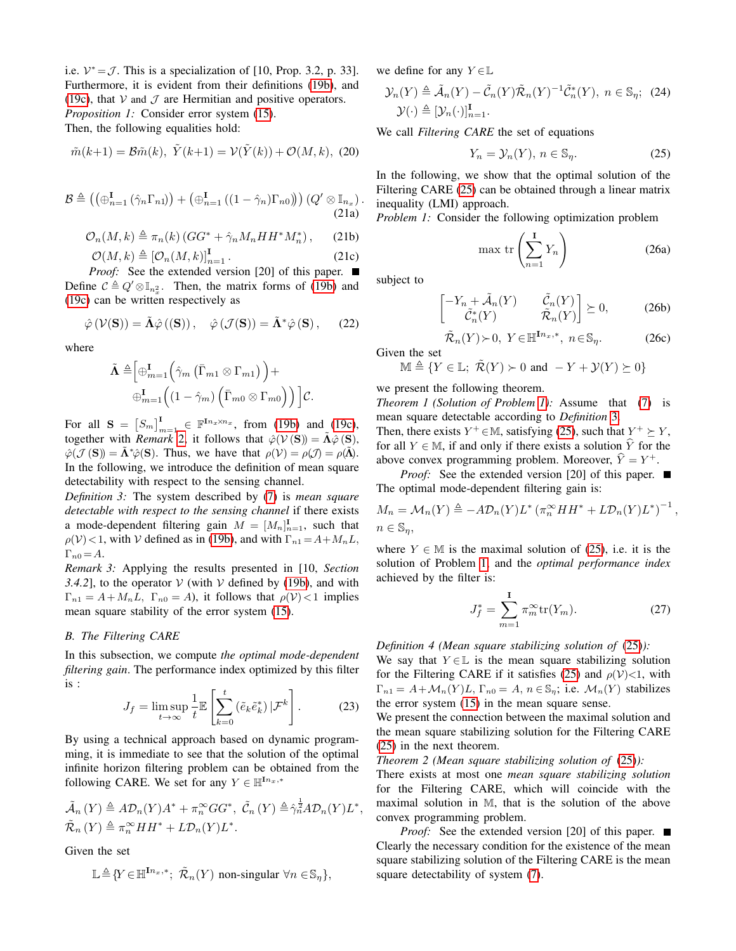i.e.  $V^* = J$ . This is a specialization of [10, Prop. 3.2, p. 33]. Furthermore, it is evident from their definitions [\(19b\)](#page-3-4), and [\(19c\)](#page-3-5), that  $V$  and  $J$  are Hermitian and positive operators. *Proposition 1:* Consider error system [\(15\)](#page-3-6). Then, the following equalities hold:

$$
\tilde{m}(k+1) = \mathcal{B}\tilde{m}(k), \ \tilde{Y}(k+1) = \mathcal{V}(\tilde{Y}(k)) + \mathcal{O}(M, k), \ (20)
$$

$$
\mathcal{B} \triangleq \left( \left( \oplus_{n=1}^{I} \left( \hat{\gamma}_n \Gamma_{n1} \right) \right) + \left( \oplus_{n=1}^{I} \left( (1 - \hat{\gamma}_n) \Gamma_{n0} \right) \right) \right) \left( Q' \otimes \mathbb{I}_{n_x} \right). \tag{21a}
$$

$$
\mathcal{O}_n(M,k) \triangleq \pi_n(k) \left( GG^* + \hat{\gamma}_n M_n HH^* M_n^* \right), \qquad (21b)
$$

$$
\mathcal{O}(M,k) \triangleq \left[\mathcal{O}_n(M,k)\right]_{n=1}^{\mathbf{I}}.
$$
 (21c)

*Proof:* See the extended version [20] of this paper. ■ Define  $C \triangleq Q' \otimes \mathbb{I}_{n_x^2}$ . Then, the matrix forms of [\(19b\)](#page-3-4) and [\(19c\)](#page-3-5) can be written respectively as

$$
\hat{\varphi}(\mathcal{V}(\mathbf{S})) = \tilde{\mathbf{\Lambda}} \hat{\varphi}((\mathbf{S})), \quad \hat{\varphi}(\mathcal{J}(\mathbf{S})) = \tilde{\mathbf{\Lambda}}^* \hat{\varphi}(\mathbf{S}), \qquad (22)
$$

where

$$
\tilde{\mathbf{\Lambda}} \triangleq \Big[\oplus_{m=1}^{\mathbf{I}} \Big(\hat{\gamma}_m \left(\bar{\Gamma}_{m1} \otimes \Gamma_{m1}\right)\Big) + \\ \oplus_{m=1}^{\mathbf{I}} \Big((1-\hat{\gamma}_m) \left(\bar{\Gamma}_{m0} \otimes \Gamma_{m0}\right)\Big)\Big] \mathcal{C}.
$$

For all  $S = [S_m]_{m=1}^{I} \in \mathbb{F}^{\mathbb{I} n_x \times n_x}$ , from [\(19b\)](#page-3-4) and [\(19c\)](#page-3-5), together with *Remark* [2,](#page-3-7) it follows that  $\hat{\varphi}(\mathcal{V}(\mathbf{S})) = \tilde{\mathbf{\Lambda}} \hat{\varphi}(\mathbf{S}),$  $\hat{\varphi}(\mathcal{J}(\mathbf{S})) = \tilde{\mathbf{\Lambda}}^* \hat{\varphi}(\mathbf{S})$ . Thus, we have that  $\rho(\mathcal{V}) = \rho(\mathcal{J}) = \rho(\tilde{\mathbf{\Lambda}})$ . In the following, we introduce the definition of mean square detectability with respect to the sensing channel.

*Definition 3:* The system described by [\(7\)](#page-2-0) is *mean square detectable with respect to the sensing channel* if there exists a mode-dependent filtering gain  $M = [M_n]_{n=1}^{\mathbf{I}},$  such that  $\rho(\mathcal{V})$  < 1, with V defined as in [\(19b\)](#page-3-4), and with  $\Gamma_{n1} = A + M_n L$ ,  $\Gamma_{n0} = A.$ 

*Remark 3:* Applying the results presented in [10, *Section 3.4.2*], to the operator  $V$  (with  $V$  defined by [\(19b\)](#page-3-4), and with  $\Gamma_{n1} = A + M_n L$ ,  $\Gamma_{n0} = A$ ), it follows that  $\rho(\mathcal{V}) < 1$  implies mean square stability of the error system [\(15\)](#page-3-6).

#### *B. The Filtering CARE*

In this subsection, we compute *the optimal mode-dependent filtering gain*. The performance index optimized by this filter is :

$$
J_f = \limsup_{t \to \infty} \frac{1}{t} \mathbb{E} \left[ \sum_{k=0}^{t} \left( \tilde{e}_k \tilde{e}_k^* \right) | \mathcal{F}^k \right]. \tag{23}
$$

By using a technical approach based on dynamic programming, it is immediate to see that the solution of the optimal infinite horizon filtering problem can be obtained from the following CARE. We set for any  $Y \in \mathbb{H}^{\mathbf{I} n_x,*}$ 

$$
\tilde{\mathcal{A}}_n(Y) \triangleq A \mathcal{D}_n(Y) A^* + \pi_n^{\infty} G G^*, \ \tilde{\mathcal{C}}_n(Y) \triangleq \hat{\gamma}_n^{\frac{1}{2}} A \mathcal{D}_n(Y) L^*, \n\tilde{\mathcal{R}}_n(Y) \triangleq \pi_n^{\infty} H H^* + L \mathcal{D}_n(Y) L^*.
$$

Given the set

$$
\mathbb{L} \triangleq {Y \in \mathbb{H}^{\mathbf{I} n_x,*}; \ \tilde{\mathcal{R}}_n(Y) \ \text{non-singular} \ \forall n \in \mathbb{S}_\eta },
$$

we define for any  $Y \in \mathbb{L}$ 

$$
\mathcal{Y}_n(Y) \triangleq \tilde{\mathcal{A}}_n(Y) - \tilde{\mathcal{C}}_n(Y)\tilde{\mathcal{R}}_n(Y)^{-1}\tilde{\mathcal{C}}_n^*(Y), \ n \in \mathbb{S}_\eta; \tag{24}
$$
  

$$
\mathcal{Y}(\cdot) \triangleq [\mathcal{Y}_n(\cdot)]_{n=1}^{\mathbf{I}}.
$$

We call *Filtering CARE* the set of equations

<span id="page-4-0"></span>
$$
Y_n = \mathcal{Y}_n(Y), \, n \in \mathbb{S}_\eta. \tag{25}
$$

In the following, we show that the optimal solution of the Filtering CARE [\(25\)](#page-4-0) can be obtained through a linear matrix inequality (LMI) approach.

*Problem 1:* Consider the following optimization problem

<span id="page-4-1"></span>
$$
\max \operatorname{tr}\left(\sum_{n=1}^{\mathbf{I}} Y_n\right) \tag{26a}
$$

subject to

$$
\begin{bmatrix} -Y_n + \tilde{\mathcal{A}}_n(Y) & \tilde{\mathcal{C}}_n(Y) \\ \tilde{\mathcal{C}}_n^*(Y) & \tilde{\mathcal{R}}_n(Y) \end{bmatrix} \succeq 0, \tag{26b}
$$

 $\tilde{\mathcal{R}}_n(Y)$  > 0,  $Y \in \mathbb{H}^{\mathbf{I} n_x, *}, n \in \mathbb{S}_\eta$ . (26c) Given the set

$$
\mathbb{M} \triangleq \{ Y \in \mathbb{L}; \ \tilde{\mathcal{R}}(Y) \succ 0 \ \text{and} \ -Y + \mathcal{Y}(Y) \succeq 0 \}
$$

we present the following theorem.

*Theorem 1 (Solution of Problem [1\)](#page-4-1):* Assume that [\(7\)](#page-2-0) is mean square detectable according to *Definition* [3.](#page-4-2)

Then, there exists  $Y^+ \in \mathbb{M}$ , satisfying [\(25\)](#page-4-0), such that  $Y^+ \succeq Y$ , for all  $Y \in \mathbb{M}$ , if and only if there exists a solution  $\hat{Y}$  for the above convex programming problem. Moreover,  $\hat{Y} = Y^+$ .

<span id="page-4-2"></span>*Proof:* See the extended version [20] of this paper. ■ The optimal mode-dependent filtering gain is:

$$
M_n = \mathcal{M}_n(Y) \triangleq -A \mathcal{D}_n(Y) L^* \left( \pi_n^{\infty} H H^* + L \mathcal{D}_n(Y) L^* \right)^{-1},
$$
  

$$
n \in \mathbb{S}_\eta,
$$

where  $Y \in \mathbb{M}$  is the maximal solution of [\(25\)](#page-4-0), i.e. it is the solution of Problem [1,](#page-4-1) and the *optimal performance index* achieved by the filter is:

$$
J_f^* = \sum_{m=1}^{I} \pi_m^{\infty} \text{tr}(Y_m).
$$
 (27)

*Definition 4 (Mean square stabilizing solution of* [\(25\)](#page-4-0)*):*

We say that  $Y \in \mathbb{L}$  is the mean square stabilizing solution for the Filtering CARE if it satisfies [\(25\)](#page-4-0) and  $\rho(\mathcal{V})$  <1, with  $\Gamma_{n1} = A + \mathcal{M}_n(Y)L$ ,  $\Gamma_{n0} = A$ ,  $n \in \mathbb{S}_n$ ; i.e.  $\mathcal{M}_n(Y)$  stabilizes the error system [\(15\)](#page-3-6) in the mean square sense.

We present the connection between the maximal solution and the mean square stabilizing solution for the Filtering CARE [\(25\)](#page-4-0) in the next theorem.

*Theorem 2 (Mean square stabilizing solution of* [\(25\)](#page-4-0)*):*

There exists at most one *mean square stabilizing solution* for the Filtering CARE, which will coincide with the maximal solution in M, that is the solution of the above convex programming problem.

*Proof:* See the extended version [20] of this paper. ■ Clearly the necessary condition for the existence of the mean square stabilizing solution of the Filtering CARE is the mean square detectability of system [\(7\)](#page-2-0).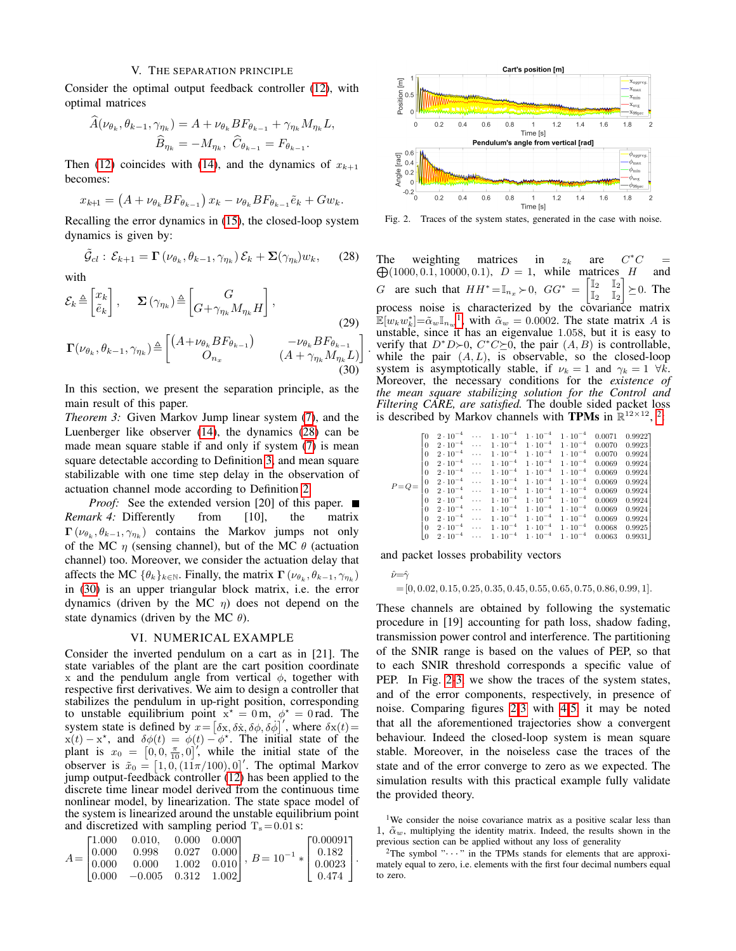## V. THE SEPARATION PRINCIPLE

<span id="page-5-0"></span>Consider the optimal output feedback controller [\(12\)](#page-2-4), with optimal matrices

$$
A(\nu_{\theta_k}, \theta_{k-1}, \gamma_{\eta_k}) = A + \nu_{\theta_k} B F_{\theta_{k-1}} + \gamma_{\eta_k} M_{\eta_k} L,
$$
  

$$
\widehat{B}_{\eta_k} = -M_{\eta_k}, \ \widehat{C}_{\theta_{k-1}} = F_{\theta_{k-1}}.
$$

Then [\(12\)](#page-2-4) coincides with [\(14\)](#page-3-8), and the dynamics of  $x_{k+1}$ becomes:

$$
x_{k+1} = \left(A + \nu_{\theta_k} BF_{\theta_{k-1}}\right) x_k - \nu_{\theta_k} BF_{\theta_{k-1}} \tilde{e}_k + Gw_k.
$$

Recalling the error dynamics in [\(15\)](#page-3-6), the closed-loop system dynamics is given by:

<span id="page-5-2"></span>
$$
\tilde{\mathcal{G}}_{cl} : \mathcal{E}_{k+1} = \Gamma\left(\nu_{\theta_k}, \theta_{k-1}, \gamma_{\eta_k}\right) \mathcal{E}_k + \Sigma(\gamma_{\eta_k}) w_k, \quad (28)
$$

with

$$
\mathcal{E}_k \triangleq \begin{bmatrix} x_k \\ \tilde{e}_k \end{bmatrix}, \quad \Sigma (\gamma_{\eta_k}) \triangleq \begin{bmatrix} G \\ G + \gamma_{\eta_k} M_{\eta_k} H \end{bmatrix},
$$
\n(29)

$$
\Gamma(\nu_{\theta_k}, \theta_{k-1}, \gamma_{\eta_k}) \triangleq \begin{bmatrix} (A + \nu_{\theta_k} BF_{\theta_{k-1}}) & -\nu_{\theta_k} BF_{\theta_{k-1}} \\ O_{n_x} & (A + \gamma_{\eta_k} M_{\eta_k} L) \end{bmatrix}
$$
(30)

In this section, we present the separation principle, as the main result of this paper.

*Theorem 3:* Given Markov Jump linear system [\(7\)](#page-2-0), and the Luenberger like observer [\(14\)](#page-3-8), the dynamics [\(28\)](#page-5-2) can be made mean square stable if and only if system [\(7\)](#page-2-0) is mean square detectable according to Definition [3,](#page-4-2) and mean square stabilizable with one time step delay in the observation of actuation channel mode according to Definition [2.](#page-3-2)

*Proof:* See the extended version [20] of this paper. ■ *Remark 4:* Differently from [10], the matrix  $\Gamma(\nu_{\theta_k}, \theta_{k-1}, \gamma_{\eta_k})$  contains the Markov jumps not only of the MC  $\eta$  (sensing channel), but of the MC  $\theta$  (actuation channel) too. Moreover, we consider the actuation delay that affects the MC  $\{\theta_k\}_{k \in \mathbb{N}}$ . Finally, the matrix  $\Gamma(\nu_{\theta_k}, \theta_{k-1}, \gamma_{\eta_k})$ in [\(30\)](#page-5-3) is an upper triangular block matrix, i.e. the error dynamics (driven by the MC  $\eta$ ) does not depend on the state dynamics (driven by the MC  $\theta$ ).

#### VI. NUMERICAL EXAMPLE

<span id="page-5-1"></span>Consider the inverted pendulum on a cart as in [21]. The state variables of the plant are the cart position coordinate x and the pendulum angle from vertical  $\phi$ , together with respective first derivatives. We aim to design a controller that stabilizes the pendulum in up-right position, corresponding to unstable equilibrium point  $\vec{x}^* = 0$  m,  $\phi^* = 0$  rad. The system state is defined by  $x = [\delta x, \delta \dot{x}, \delta \phi, \delta \dot{\phi}]'$ , where  $\delta x(t) =$  $x(t) - x^*$ , and  $\delta\phi(t) = \phi(t) - \phi^*$ . The initial state of the plant is  $x_0 = [0, 0, \frac{\pi}{10}, 0]'$ , while the initial state of the observer is  $\tilde{x}_0 = [1, 0, (11\pi/100), 0]$ . The optimal Markov jump output-feedback controller [\(12\)](#page-2-4) has been applied to the discrete time linear model derived from the continuous time nonlinear model, by linearization. The state space model of the system is linearized around the unstable equilibrium point and discretized with sampling period  $T_s = 0.01$  s:

$$
A = \begin{bmatrix} 1.000 & 0.010, & 0.000 & 0.000 \\ 0.000 & 0.998 & 0.027 & 0.000 \\ 0.000 & 0.000 & 1.002 & 0.010 \\ 0.000 & -0.005 & 0.312 & 1.002 \end{bmatrix}, B = 10^{-1} * \begin{bmatrix} 0.00091 \\ 0.182 \\ 0.0023 \\ 0.474 \end{bmatrix}.
$$



<span id="page-5-6"></span>Fig. 2. Traces of the system states, generated in the case with noise.

The weighting matrices in  $z_k$  are  ${}^*C =$  $\bigoplus (1000, 0.1, 10000, 0.1), D = 1$ , while matrices H and G are such that  $HH^* = \mathbb{I}_{n_x} \succ 0$ ,  $GG^* =$  $\begin{bmatrix} \mathbb{I}_2 & \mathbb{I}_2 \end{bmatrix}$  $\overline{\mathbb{I}}_2$   $\overline{\mathbb{I}}_2$ 1  $\succeq$  0. The process noise is characterized by the covariance matrix  $\mathbb{E}[w_k w_k^*]=\tilde{\alpha}_w \mathbb{I}_{n_w}^{\quad 1}$  $\mathbb{E}[w_k w_k^*]=\tilde{\alpha}_w \mathbb{I}_{n_w}^{\quad 1}$  $\mathbb{E}[w_k w_k^*]=\tilde{\alpha}_w \mathbb{I}_{n_w}^{\quad 1}$ , with  $\tilde{\alpha}_w = 0.0002$ . The state matrix A is unstable, since it has an eigenvalue 1.058, but it is easy to verify that  $D^*D\succ 0$ ,  $C^*C\succeq 0$ , the pair  $(A, B)$  is controllable, while the pair  $(A, L)$ , is observable, so the closed-loop system is asymptotically stable, if  $\nu_k = 1$  and  $\gamma_k = 1 \ \forall k$ . Moreover, the necessary conditions for the *existence of the mean square stabilizing solution for the Control and Filtering CARE, are satisfied.* The double sided packet loss is described by Markov channels with TPMs in  $\mathbb{R}^{12\times12}$  $\mathbb{R}^{12\times12}$  $\mathbb{R}^{12\times12}$ , <sup>2</sup>:

| $P = Q =$ | L0<br>$\overline{0}$<br>$\theta$<br>$\theta$<br>$\overline{0}$<br>$\overline{0}$<br>$\theta$<br>$\Omega$<br>$\Omega$<br>$\theta$<br>$\Omega$ | $2 \cdot 10^{-4}$<br>$2 \cdot 10^{-4}$<br>$2 \cdot 10^{-4}$<br>$2 \cdot 10^{-4}$<br>$2 \cdot 10^{-4}$<br>$2 \cdot 10^{-4}$<br>$2 \cdot 10^{-4}$<br>$2 \cdot 10^{-4}$<br>$2 \cdot 10^{-4}$ | $\cdots$<br>$\cdots$<br>$\cdots$<br>$\sim 100$ km s $^{-1}$<br>$\cdots$ | $\cdots$ 1 $\cdot$ 10 <sup>-4</sup> 1 $\cdot$ 10 <sup>-4</sup> 1 $\cdot$ 10 <sup>-4</sup><br>$2 \cdot 10^{-4}$ $1 \cdot 10^{-4}$ $1 \cdot 10^{-4}$ $1 \cdot 10^{-4}$<br>$\cdots$ 1 $\cdot$ 10 <sup>-4</sup> 1 $\cdot$ 10 <sup>-4</sup> 1 $\cdot$ 10 <sup>-4</sup><br>$2 \cdot 10^{-4}$ $1 \cdot 10^{-4}$ $1 \cdot 10^{-4}$ $1 \cdot 10^{-4}$<br>$\cdots$ 1 $\cdot$ 10 <sup>-4</sup> 1 $\cdot$ 10 <sup>-4</sup> 1 $\cdot$ 10 <sup>-4</sup><br>$\cdots$ 1 $\cdot$ 10 <sup>-4</sup> 1 $\cdot$ 10 <sup>-4</sup> 1 $\cdot$ 10 <sup>-4</sup> | $1 \cdot 10^{-4}$ $1 \cdot 10^{-4}$ $1 \cdot 10^{-4}$<br>$1 \cdot 10^{-4}$ $1 \cdot 10^{-4}$ $1 \cdot 10^{-4}$<br>$1 \cdot 10^{-4}$ $1 \cdot 10^{-4}$ $1 \cdot 10^{-4}$<br>$1 \cdot 10^{-4}$ $1 \cdot 10^{-4}$ $1 \cdot 10^{-4}$<br>$1 \cdot 10^{-4}$ $1 \cdot 10^{-4}$ $1 \cdot 10^{-4}$ | 0.0071<br>0.0070<br>0.0070<br>0.0069<br>0.0069<br>0.0069<br>0.0069<br>0.0069<br>0.0069<br>0.0069<br>0.0068 | 0.99227<br>0.9923<br>0.9924<br>0.9924<br>0.9924<br>0.9924<br>0.9924<br>0.9924<br>0.9924<br>0.9924<br>0.9925 |  |
|-----------|----------------------------------------------------------------------------------------------------------------------------------------------|-------------------------------------------------------------------------------------------------------------------------------------------------------------------------------------------|-------------------------------------------------------------------------|----------------------------------------------------------------------------------------------------------------------------------------------------------------------------------------------------------------------------------------------------------------------------------------------------------------------------------------------------------------------------------------------------------------------------------------------------------------------------------------------------------------------------------------|-------------------------------------------------------------------------------------------------------------------------------------------------------------------------------------------------------------------------------------------------------------------------------------------|------------------------------------------------------------------------------------------------------------|-------------------------------------------------------------------------------------------------------------|--|
|           | l O                                                                                                                                          | $2 \cdot 10^{-4}$                                                                                                                                                                         |                                                                         | $\cdots$ 1 $\cdot$ 10 <sup>-4</sup> 1 $\cdot$ 10 <sup>-4</sup> 1 $\cdot$ 10 <sup>-4</sup>                                                                                                                                                                                                                                                                                                                                                                                                                                              |                                                                                                                                                                                                                                                                                           | 0.0063                                                                                                     | 0.9931                                                                                                      |  |
|           |                                                                                                                                              |                                                                                                                                                                                           |                                                                         |                                                                                                                                                                                                                                                                                                                                                                                                                                                                                                                                        |                                                                                                                                                                                                                                                                                           |                                                                                                            |                                                                                                             |  |

and packet losses probability vectors

<span id="page-5-3"></span>.

$$
\hat{\nu}=\hat{\gamma}
$$
  
= [0, 0.02, 0.15, 0.25, 0.35, 0.45, 0.55, 0.65, 0.75, 0.86, 0.99, 1].

These channels are obtained by following the systematic procedure in [19] accounting for path loss, shadow fading, transmission power control and interference. The partitioning of the SNIR range is based on the values of PEP, so that to each SNIR threshold corresponds a specific value of PEP. In Fig. [2](#page-5-6)[-3,](#page-6-1) we show the traces of the system states, and of the error components, respectively, in presence of noise. Comparing figures [2-](#page-5-6)[3](#page-6-1) with [4](#page-6-2)[-5,](#page-6-3) it may be noted that all the aforementioned trajectories show a convergent behaviour. Indeed the closed-loop system is mean square stable. Moreover, in the noiseless case the traces of the state and of the error converge to zero as we expected. The simulation results with this practical example fully validate the provided theory.

<span id="page-5-4"></span><sup>&</sup>lt;sup>1</sup>We consider the noise covariance matrix as a positive scalar less than 1,  $\tilde{\alpha}_w$ , multiplying the identity matrix. Indeed, the results shown in the previous section can be applied without any loss of generality

<span id="page-5-5"></span><sup>&</sup>lt;sup>2</sup>The symbol  $\cdots$  in the TPMs stands for elements that are approximately equal to zero, i.e. elements with the first four decimal numbers equal to zero.